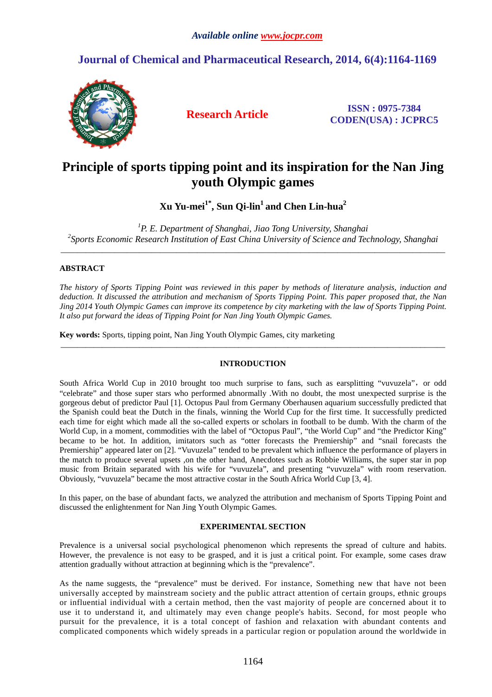## **Journal of Chemical and Pharmaceutical Research, 2014, 6(4):1164-1169**



**Research Article ISSN : 0975-7384 CODEN(USA) : JCPRC5**

# **Principle of sports tipping point and its inspiration for the Nan Jing youth Olympic games**

**Xu Yu-mei1\*, Sun Qi-lin<sup>1</sup>and Chen Lin-hua<sup>2</sup>**

*<sup>1</sup>P. E. Department of Shanghai, Jiao Tong University, Shanghai 2 Sports Economic Research Institution of East China University of Science and Technology, Shanghai*  \_\_\_\_\_\_\_\_\_\_\_\_\_\_\_\_\_\_\_\_\_\_\_\_\_\_\_\_\_\_\_\_\_\_\_\_\_\_\_\_\_\_\_\_\_\_\_\_\_\_\_\_\_\_\_\_\_\_\_\_\_\_\_\_\_\_\_\_\_\_\_\_\_\_\_\_\_\_\_\_\_\_\_\_\_\_\_\_\_\_\_\_\_

## **ABSTRACT**

*The history of Sports Tipping Point was reviewed in this paper by methods of literature analysis, induction and deduction. It discussed the attribution and mechanism of Sports Tipping Point. This paper proposed that, the Nan Jing 2014 Youth Olympic Games can improve its competence by city marketing with the law of Sports Tipping Point. It also put forward the ideas of Tipping Point for Nan Jing Youth Olympic Games.* 

**Key words:** Sports, tipping point, Nan Jing Youth Olympic Games, city marketing

## **INTRODUCTION**

\_\_\_\_\_\_\_\_\_\_\_\_\_\_\_\_\_\_\_\_\_\_\_\_\_\_\_\_\_\_\_\_\_\_\_\_\_\_\_\_\_\_\_\_\_\_\_\_\_\_\_\_\_\_\_\_\_\_\_\_\_\_\_\_\_\_\_\_\_\_\_\_\_\_\_\_\_\_\_\_\_\_\_\_\_\_\_\_\_\_\_\_\_

South Africa World Cup in 2010 brought too much surprise to fans, such as earsplitting "vuvuzela", or odd "celebrate" and those super stars who performed abnormally .With no doubt, the most unexpected surprise is the gorgeous debut of predictor Paul [1]. Octopus Paul from Germany Oberhausen aquarium successfully predicted that the Spanish could beat the Dutch in the finals, winning the World Cup for the first time. It successfully predicted each time for eight which made all the so-called experts or scholars in football to be dumb. With the charm of the World Cup, in a moment, commodities with the label of "Octopus Paul", "the World Cup" and "the Predictor King" became to be hot. In addition, imitators such as "otter forecasts the Premiership" and "snail forecasts the Premiership" appeared later on [2]. "Vuvuzela" tended to be prevalent which influence the performance of players in the match to produce several upsets ,on the other hand, Anecdotes such as Robbie Williams, the super star in pop music from Britain separated with his wife for "vuvuzela", and presenting "vuvuzela" with room reservation. Obviously, "vuvuzela" became the most attractive costar in the South Africa World Cup [3, 4].

In this paper, on the base of abundant facts, we analyzed the attribution and mechanism of Sports Tipping Point and discussed the enlightenment for Nan Jing Youth Olympic Games.

## **EXPERIMENTAL SECTION**

Prevalence is a universal social psychological phenomenon which represents the spread of culture and habits. However, the prevalence is not easy to be grasped, and it is just a critical point. For example, some cases draw attention gradually without attraction at beginning which is the "prevalence".

As the name suggests, the "prevalence" must be derived. For instance, Something new that have not been universally accepted by mainstream society and the public attract attention of certain groups, ethnic groups or influential individual with a certain method, then the vast majority of people are concerned about it to use it to understand it, and ultimately may even change people's habits. Second, for most people who pursuit for the prevalence, it is a total concept of fashion and relaxation with abundant contents and complicated components which widely spreads in a particular region or population around the worldwide in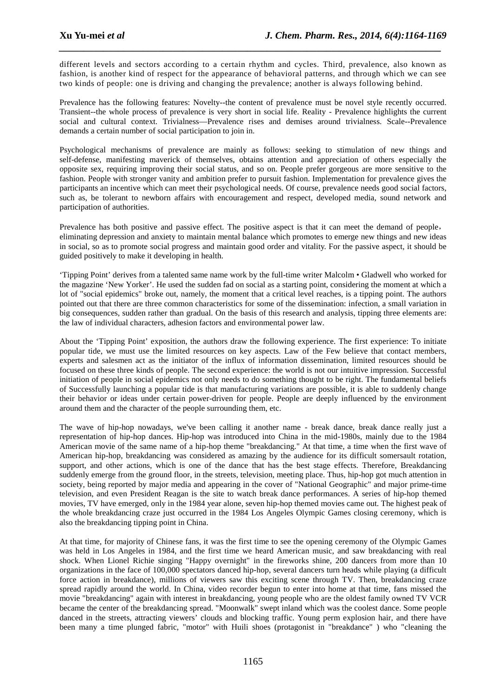different levels and sectors according to a certain rhythm and cycles. Third, prevalence, also known as fashion, is another kind of respect for the appearance of behavioral patterns, and through which we can see two kinds of people: one is driving and changing the prevalence; another is always following behind.

*\_\_\_\_\_\_\_\_\_\_\_\_\_\_\_\_\_\_\_\_\_\_\_\_\_\_\_\_\_\_\_\_\_\_\_\_\_\_\_\_\_\_\_\_\_\_\_\_\_\_\_\_\_\_\_\_\_\_\_\_\_\_\_\_\_\_\_\_\_\_\_\_\_\_\_\_\_*

Prevalence has the following features: Novelty--the content of prevalence must be novel style recently occurred. Transient--the whole process of prevalence is very short in social life. Reality - Prevalence highlights the current social and cultural context. Trivialness—Prevalence rises and demises around trivialness. Scale--Prevalence demands a certain number of social participation to join in.

Psychological mechanisms of prevalence are mainly as follows: seeking to stimulation of new things and self-defense, manifesting maverick of themselves, obtains attention and appreciation of others especially the opposite sex, requiring improving their social status, and so on. People prefer gorgeous are more sensitive to the fashion. People with stronger vanity and ambition prefer to pursuit fashion. Implementation for prevalence gives the participants an incentive which can meet their psychological needs. Of course, prevalence needs good social factors, such as, be tolerant to newborn affairs with encouragement and respect, developed media, sound network and participation of authorities.

Prevalence has both positive and passive effect. The positive aspect is that it can meet the demand of people, eliminating depression and anxiety to maintain mental balance which promotes to emerge new things and new ideas in social, so as to promote social progress and maintain good order and vitality. For the passive aspect, it should be guided positively to make it developing in health.

'Tipping Point' derives from a talented same name work by the full-time writer Malcolm • Gladwell who worked for the magazine 'New Yorker'. He used the sudden fad on social as a starting point, considering the moment at which a lot of "social epidemics" broke out, namely, the moment that a critical level reaches, is a tipping point. The authors pointed out that there are three common characteristics for some of the dissemination: infection, a small variation in big consequences, sudden rather than gradual. On the basis of this research and analysis, tipping three elements are: the law of individual characters, adhesion factors and environmental power law.

About the 'Tipping Point' exposition, the authors draw the following experience. The first experience: To initiate popular tide, we must use the limited resources on key aspects. Law of the Few believe that contact members, experts and salesmen act as the initiator of the influx of information dissemination, limited resources should be focused on these three kinds of people. The second experience: the world is not our intuitive impression. Successful initiation of people in social epidemics not only needs to do something thought to be right. The fundamental beliefs of Successfully launching a popular tide is that manufacturing variations are possible, it is able to suddenly change their behavior or ideas under certain power-driven for people. People are deeply influenced by the environment around them and the character of the people surrounding them, etc.

The wave of hip-hop nowadays, we've been calling it another name - break dance, break dance really just a representation of hip-hop dances. Hip-hop was introduced into China in the mid-1980s, mainly due to the 1984 American movie of the same name of a hip-hop theme "breakdancing." At that time, a time when the first wave of American hip-hop, breakdancing was considered as amazing by the audience for its difficult somersault rotation, support, and other actions, which is one of the dance that has the best stage effects. Therefore, Breakdancing suddenly emerge from the ground floor, in the streets, television, meeting place. Thus, hip-hop got much attention in society, being reported by major media and appearing in the cover of "National Geographic" and major prime-time television, and even President Reagan is the site to watch break dance performances. A series of hip-hop themed movies, TV have emerged, only in the 1984 year alone, seven hip-hop themed movies came out. The highest peak of the whole breakdancing craze just occurred in the 1984 Los Angeles Olympic Games closing ceremony, which is also the breakdancing tipping point in China.

At that time, for majority of Chinese fans, it was the first time to see the opening ceremony of the Olympic Games was held in Los Angeles in 1984, and the first time we heard American music, and saw breakdancing with real shock. When Lionel Richie singing "Happy overnight" in the fireworks shine, 200 dancers from more than 10 organizations in the face of 100,000 spectators danced hip-hop, several dancers turn heads while playing (a difficult force action in breakdance), millions of viewers saw this exciting scene through TV. Then, breakdancing craze spread rapidly around the world. In China, video recorder begun to enter into home at that time, fans missed the movie "breakdancing" again with interest in breakdancing, young people who are the oldest family owned TV VCR became the center of the breakdancing spread. "Moonwalk" swept inland which was the coolest dance. Some people danced in the streets, attracting viewers' clouds and blocking traffic. Young perm explosion hair, and there have been many a time plunged fabric, "motor" with Huili shoes (protagonist in "breakdance" ) who "cleaning the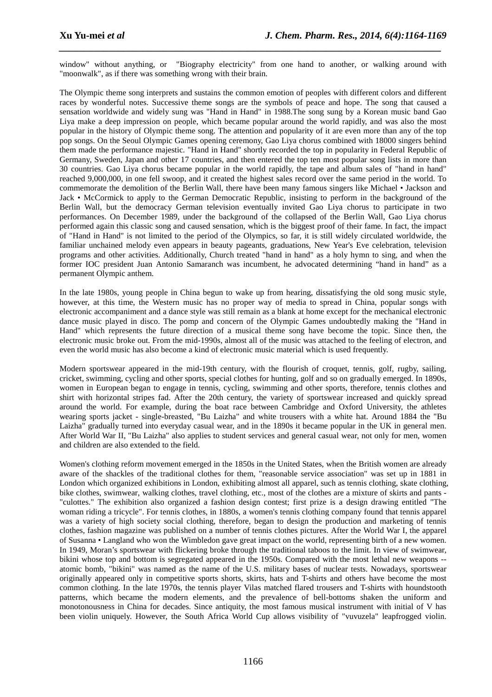window" without anything, or "Biography electricity" from one hand to another, or walking around with "moonwalk", as if there was something wrong with their brain.

*\_\_\_\_\_\_\_\_\_\_\_\_\_\_\_\_\_\_\_\_\_\_\_\_\_\_\_\_\_\_\_\_\_\_\_\_\_\_\_\_\_\_\_\_\_\_\_\_\_\_\_\_\_\_\_\_\_\_\_\_\_\_\_\_\_\_\_\_\_\_\_\_\_\_\_\_\_*

The Olympic theme song interprets and sustains the common emotion of peoples with different colors and different races by wonderful notes. Successive theme songs are the symbols of peace and hope. The song that caused a sensation worldwide and widely sung was "Hand in Hand" in 1988.The song sung by a Korean music band Gao Liya make a deep impression on people, which became popular around the world rapidly, and was also the most popular in the history of Olympic theme song. The attention and popularity of it are even more than any of the top pop songs. On the Seoul Olympic Games opening ceremony, Gao Liya chorus combined with 18000 singers behind them made the performance majestic. "Hand in Hand" shortly recorded the top in popularity in Federal Republic of Germany, Sweden, Japan and other 17 countries, and then entered the top ten most popular song lists in more than 30 countries. Gao Liya chorus became popular in the world rapidly, the tape and album sales of "hand in hand" reached 9,000,000, in one fell swoop, and it created the highest sales record over the same period in the world. To commemorate the demolition of the Berlin Wall, there have been many famous singers like Michael • Jackson and Jack • McCormick to apply to the German Democratic Republic, insisting to perform in the background of the Berlin Wall, but the democracy German television eventually invited Gao Liya chorus to participate in two performances. On December 1989, under the background of the collapsed of the Berlin Wall, Gao Liya chorus performed again this classic song and caused sensation, which is the biggest proof of their fame. In fact, the impact of "Hand in Hand" is not limited to the period of the Olympics, so far, it is still widely circulated worldwide, the familiar unchained melody even appears in beauty pageants, graduations, New Year's Eve celebration, television programs and other activities. Additionally, Church treated "hand in hand" as a holy hymn to sing, and when the former IOC president Juan Antonio Samaranch was incumbent, he advocated determining "hand in hand" as a permanent Olympic anthem.

In the late 1980s, young people in China begun to wake up from hearing, dissatisfying the old song music style, however, at this time, the Western music has no proper way of media to spread in China, popular songs with electronic accompaniment and a dance style was still remain as a blank at home except for the mechanical electronic dance music played in disco. The pomp and concern of the Olympic Games undoubtedly making the "Hand in Hand" which represents the future direction of a musical theme song have become the topic. Since then, the electronic music broke out. From the mid-1990s, almost all of the music was attached to the feeling of electron, and even the world music has also become a kind of electronic music material which is used frequently.

Modern sportswear appeared in the mid-19th century, with the flourish of croquet, tennis, golf, rugby, sailing, cricket, swimming, cycling and other sports, special clothes for hunting, golf and so on gradually emerged. In 1890s, women in European began to engage in tennis, cycling, swimming and other sports, therefore, tennis clothes and shirt with horizontal stripes fad. After the 20th century, the variety of sportswear increased and quickly spread around the world. For example, during the boat race between Cambridge and Oxford University, the athletes wearing sports jacket - single-breasted, "Bu Laizha" and white trousers with a white hat. Around 1884 the "Bu Laizha" gradually turned into everyday casual wear, and in the 1890s it became popular in the UK in general men. After World War II, "Bu Laizha" also applies to student services and general casual wear, not only for men, women and children are also extended to the field.

Women's clothing reform movement emerged in the 1850s in the United States, when the British women are already aware of the shackles of the traditional clothes for them, "reasonable service association" was set up in 1881 in London which organized exhibitions in London, exhibiting almost all apparel, such as tennis clothing, skate clothing, bike clothes, swimwear, walking clothes, travel clothing, etc., most of the clothes are a mixture of skirts and pants - "culottes." The exhibition also organized a fashion design contest; first prize is a design drawing entitled "The woman riding a tricycle". For tennis clothes, in 1880s, a women's tennis clothing company found that tennis apparel was a variety of high society social clothing, therefore, began to design the production and marketing of tennis clothes, fashion magazine was published on a number of tennis clothes pictures. After the World War I, the apparel of Susanna • Langland who won the Wimbledon gave great impact on the world, representing birth of a new women. In 1949, Moran's sportswear with flickering broke through the traditional taboos to the limit. In view of swimwear, bikini whose top and bottom is segregated appeared in the 1950s. Compared with the most lethal new weapons - atomic bomb, "bikini" was named as the name of the U.S. military bases of nuclear tests. Nowadays, sportswear originally appeared only in competitive sports shorts, skirts, hats and T-shirts and others have become the most common clothing. In the late 1970s, the tennis player Vilas matched flared trousers and T-shirts with houndstooth patterns, which became the modern elements, and the prevalence of bell-bottoms shaken the uniform and monotonousness in China for decades. Since antiquity, the most famous musical instrument with initial of V has been violin uniquely. However, the South Africa World Cup allows visibility of "vuvuzela" leapfrogged violin.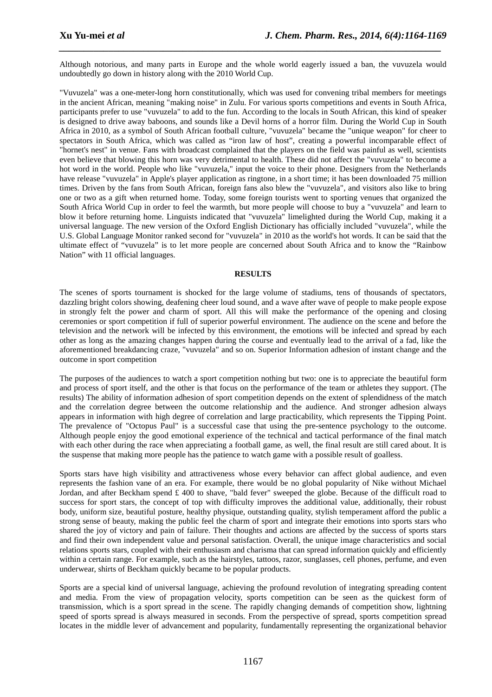Although notorious, and many parts in Europe and the whole world eagerly issued a ban, the vuvuzela would undoubtedly go down in history along with the 2010 World Cup.

*\_\_\_\_\_\_\_\_\_\_\_\_\_\_\_\_\_\_\_\_\_\_\_\_\_\_\_\_\_\_\_\_\_\_\_\_\_\_\_\_\_\_\_\_\_\_\_\_\_\_\_\_\_\_\_\_\_\_\_\_\_\_\_\_\_\_\_\_\_\_\_\_\_\_\_\_\_*

"Vuvuzela" was a one-meter-long horn constitutionally, which was used for convening tribal members for meetings in the ancient African, meaning "making noise" in Zulu. For various sports competitions and events in South Africa, participants prefer to use "vuvuzela" to add to the fun. According to the locals in South African, this kind of speaker is designed to drive away baboons, and sounds like a Devil horns of a horror film. During the World Cup in South Africa in 2010, as a symbol of South African football culture, "vuvuzela" became the "unique weapon" for cheer to spectators in South Africa, which was called as "iron law of host", creating a powerful incomparable effect of "hornet's nest" in venue. Fans with broadcast complained that the players on the field was painful as well, scientists even believe that blowing this horn was very detrimental to health. These did not affect the "vuvuzela" to become a hot word in the world. People who like "vuvuzela," input the voice to their phone. Designers from the Netherlands have release "vuvuzela" in Apple's player application as ringtone, in a short time; it has been downloaded 75 million times. Driven by the fans from South African, foreign fans also blew the "vuvuzela", and visitors also like to bring one or two as a gift when returned home. Today, some foreign tourists went to sporting venues that organized the South Africa World Cup in order to feel the warmth, but more people will choose to buy a "vuvuzela" and learn to blow it before returning home. Linguists indicated that "vuvuzela" limelighted during the World Cup, making it a universal language. The new version of the Oxford English Dictionary has officially included "vuvuzela", while the U.S. Global Language Monitor ranked second for "vuvuzela" in 2010 as the world's hot words. It can be said that the ultimate effect of "vuvuzela" is to let more people are concerned about South Africa and to know the "Rainbow Nation" with 11 official languages.

#### **RESULTS**

The scenes of sports tournament is shocked for the large volume of stadiums, tens of thousands of spectators, dazzling bright colors showing, deafening cheer loud sound, and a wave after wave of people to make people expose in strongly felt the power and charm of sport. All this will make the performance of the opening and closing ceremonies or sport competition if full of superior powerful environment. The audience on the scene and before the television and the network will be infected by this environment, the emotions will be infected and spread by each other as long as the amazing changes happen during the course and eventually lead to the arrival of a fad, like the aforementioned breakdancing craze, "vuvuzela" and so on. Superior Information adhesion of instant change and the outcome in sport competition

The purposes of the audiences to watch a sport competition nothing but two: one is to appreciate the beautiful form and process of sport itself, and the other is that focus on the performance of the team or athletes they support. (The results) The ability of information adhesion of sport competition depends on the extent of splendidness of the match and the correlation degree between the outcome relationship and the audience. And stronger adhesion always appears in information with high degree of correlation and large practicability, which represents the Tipping Point. The prevalence of "Octopus Paul" is a successful case that using the pre-sentence psychology to the outcome. Although people enjoy the good emotional experience of the technical and tactical performance of the final match with each other during the race when appreciating a football game, as well, the final result are still cared about. It is the suspense that making more people has the patience to watch game with a possible result of goalless.

Sports stars have high visibility and attractiveness whose every behavior can affect global audience, and even represents the fashion vane of an era. For example, there would be no global popularity of Nike without Michael Jordan, and after Beckham spend £ 400 to shave, "bald fever" sweeped the globe. Because of the difficult road to success for sport stars, the concept of top with difficulty improves the additional value, additionally, their robust body, uniform size, beautiful posture, healthy physique, outstanding quality, stylish temperament afford the public a strong sense of beauty, making the public feel the charm of sport and integrate their emotions into sports stars who shared the joy of victory and pain of failure. Their thoughts and actions are affected by the success of sports stars and find their own independent value and personal satisfaction. Overall, the unique image characteristics and social relations sports stars, coupled with their enthusiasm and charisma that can spread information quickly and efficiently within a certain range. For example, such as the hairstyles, tattoos, razor, sunglasses, cell phones, perfume, and even underwear, shirts of Beckham quickly became to be popular products.

Sports are a special kind of universal language, achieving the profound revolution of integrating spreading content and media. From the view of propagation velocity, sports competition can be seen as the quickest form of transmission, which is a sport spread in the scene. The rapidly changing demands of competition show, lightning speed of sports spread is always measured in seconds. From the perspective of spread, sports competition spread locates in the middle lever of advancement and popularity, fundamentally representing the organizational behavior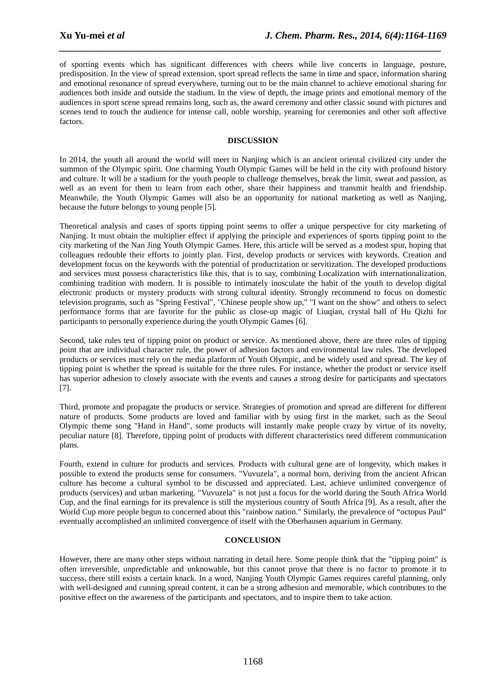of sporting events which has significant differences with cheers while live concerts in language, posture, predisposition. In the view of spread extension, sport spread reflects the same in time and space, information sharing and emotional resonance of spread everywhere, turning out to be the main channel to achieve emotional sharing for audiences both inside and outside the stadium. In the view of depth, the image prints and emotional memory of the audiences in sport scene spread remains long, such as, the award ceremony and other classic sound with pictures and scenes tend to touch the audience for intense call, noble worship, yearning for ceremonies and other soft affective factors.

*\_\_\_\_\_\_\_\_\_\_\_\_\_\_\_\_\_\_\_\_\_\_\_\_\_\_\_\_\_\_\_\_\_\_\_\_\_\_\_\_\_\_\_\_\_\_\_\_\_\_\_\_\_\_\_\_\_\_\_\_\_\_\_\_\_\_\_\_\_\_\_\_\_\_\_\_\_*

### **DISCUSSION**

In 2014, the youth all around the world will meet in Nanjing which is an ancient oriental civilized city under the summon of the Olympic spirit. One charming Youth Olympic Games will be held in the city with profound history and culture. It will be a stadium for the youth people to challenge themselves, break the limit, sweat and passion, as well as an event for them to learn from each other, share their happiness and transmit health and friendship. Meanwhile, the Youth Olympic Games will also be an opportunity for national marketing as well as Nanjing, because the future belongs to young people [5].

Theoretical analysis and cases of sports tipping point seems to offer a unique perspective for city marketing of Nanjing. It must obtain the multiplier effect if applying the principle and experiences of sports tipping point to the city marketing of the Nan Jing Youth Olympic Games. Here, this article will be served as a modest spur, hoping that colleagues redouble their efforts to jointly plan. First, develop products or services with keywords. Creation and development focus on the keywords with the potential of productization or servitization. The developed productions and services must possess characteristics like this, that is to say, combining Localization with internationalization, combining tradition with modern. It is possible to intimately inosculate the habit of the youth to develop digital electronic products or mystery products with strong cultural identity. Strongly recommend to focus on domestic television programs, such as "Spring Festival", "Chinese people show up," "I want on the show" and others to select performance forms that are favorite for the public as close-up magic of Liuqian, crystal ball of Hu Qizhi for participants to personally experience during the youth Olympic Games [6].

Second, take rules test of tipping point on product or service. As mentioned above, there are three rules of tipping point that are individual character rule, the power of adhesion factors and environmental law rules. The developed products or services must rely on the media platform of Youth Olympic, and be widely used and spread. The key of tipping point is whether the spread is suitable for the three rules. For instance, whether the product or service itself has superior adhesion to closely associate with the events and causes a strong desire for participants and spectators [7].

Third, promote and propagate the products or service. Strategies of promotion and spread are different for different nature of products. Some products are loved and familiar with by using first in the market, such as the Seoul Olympic theme song "Hand in Hand", some products will instantly make people crazy by virtue of its novelty, peculiar nature [8]. Therefore, tipping point of products with different characteristics need different communication plans.

Fourth, extend in culture for products and services. Products with cultural gene are of longevity, which makes it possible to extend the products sense for consumers. "Vuvuzela", a normal horn, deriving from the ancient African culture has become a cultural symbol to be discussed and appreciated. Last, achieve unlimited convergence of products (services) and urban marketing. "Vuvuzela" is not just a focus for the world during the South Africa World Cup, and the final earnings for its prevalence is still the mysterious country of South Africa [9]. As a result, after the World Cup more people begun to concerned about this "rainbow nation." Similarly, the prevalence of "octopus Paul" eventually accomplished an unlimited convergence of itself with the Oberhausen aquarium in Germany.

### **CONCLUSION**

However, there are many other steps without narrating in detail here. Some people think that the "tipping point" is often irreversible, unpredictable and unknowable, but this cannot prove that there is no factor to promote it to success, there still exists a certain knack. In a word, Nanjing Youth Olympic Games requires careful planning, only with well-designed and cunning spread content, it can be a strong adhesion and memorable, which contributes to the positive effect on the awareness of the participants and spectators, and to inspire them to take action.